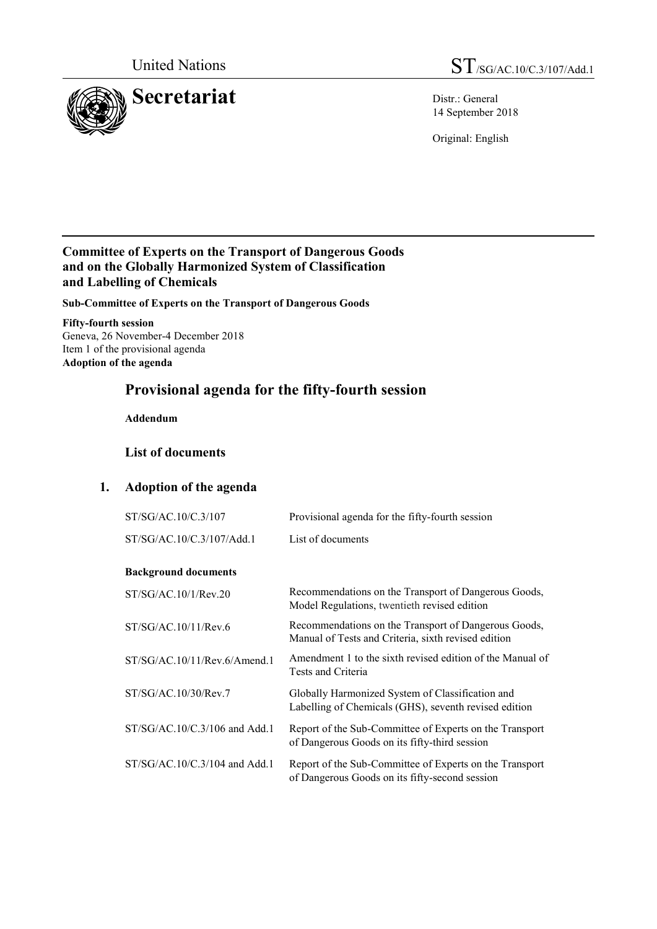

14 September 2018

Original: English

# **Committee of Experts on the Transport of Dangerous Goods and on the Globally Harmonized System of Classification and Labelling of Chemicals**

**Sub-Committee of Experts on the Transport of Dangerous Goods**

**Fifty-fourth session** Geneva, 26 November-4 December 2018 Item 1 of the provisional agenda **Adoption of the agenda**

# **Provisional agenda for the fifty-fourth session**

**Addendum**

# **List of documents**

# **1. Adoption of the agenda**

| ST/SG/AC.10/C.3/107             | Provisional agenda for the fifty-fourth session                                                             |
|---------------------------------|-------------------------------------------------------------------------------------------------------------|
| ST/SG/AC.10/C.3/107/Add.1       | List of documents                                                                                           |
|                                 |                                                                                                             |
| <b>Background documents</b>     |                                                                                                             |
| ST/SG/AC.10/1/Rev.20            | Recommendations on the Transport of Dangerous Goods,<br>Model Regulations, twentieth revised edition        |
| ST/SG/AC.10/11/Rev.6            | Recommendations on the Transport of Dangerous Goods,<br>Manual of Tests and Criteria, sixth revised edition |
| ST/SG/AC.10/11/Rev.6/Amend.1    | Amendment 1 to the sixth revised edition of the Manual of<br>Tests and Criteria                             |
| ST/SG/AC.10/30/Rev.7            | Globally Harmonized System of Classification and<br>Labelling of Chemicals (GHS), seventh revised edition   |
| $ST/SG/AC.10/C.3/106$ and Add.1 | Report of the Sub-Committee of Experts on the Transport<br>of Dangerous Goods on its fifty-third session    |
| $ST/SG/AC.10/C.3/104$ and Add.1 | Report of the Sub-Committee of Experts on the Transport<br>of Dangerous Goods on its fifty-second session   |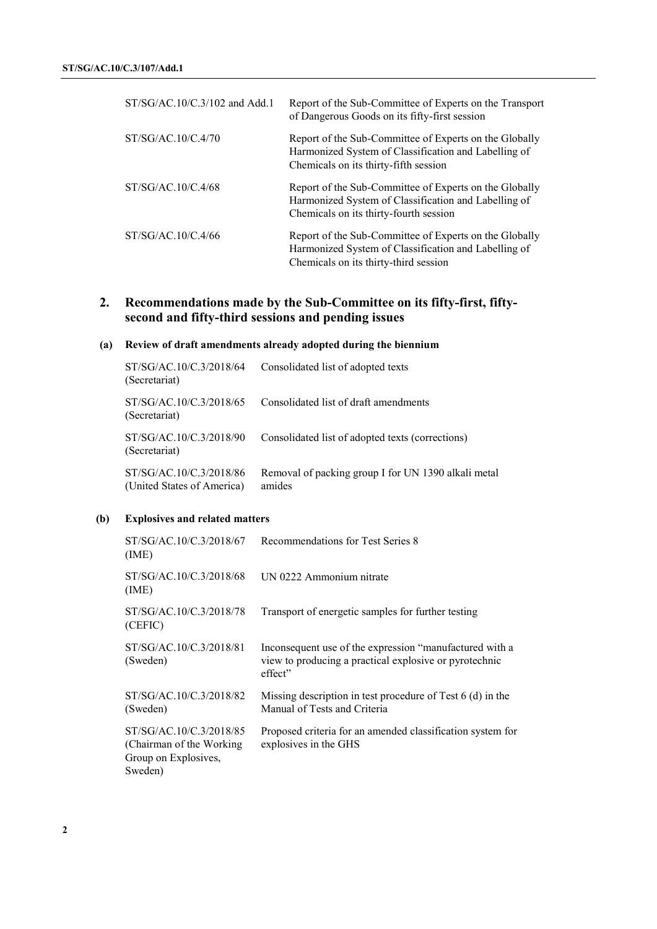| ST/SG/AC.10/C.3/102 and Add.1 | Report of the Sub-Committee of Experts on the Transport<br>of Dangerous Goods on its fifty-first session                                                 |
|-------------------------------|----------------------------------------------------------------------------------------------------------------------------------------------------------|
| ST/SG/AC.10/C.4/70            | Report of the Sub-Committee of Experts on the Globally<br>Harmonized System of Classification and Labelling of<br>Chemicals on its thirty-fifth session  |
| ST/SG/AC.10/C.4/68            | Report of the Sub-Committee of Experts on the Globally<br>Harmonized System of Classification and Labelling of<br>Chemicals on its thirty-fourth session |
| ST/SG/AC.10/C.4/66            | Report of the Sub-Committee of Experts on the Globally<br>Harmonized System of Classification and Labelling of<br>Chemicals on its thirty-third session  |

# **2. Recommendations made by the Sub-Committee on its fifty-first, fiftysecond and fifty-third sessions and pending issues**

### **(a) Review of draft amendments already adopted during the biennium**

| ST/SG/AC.10/C.3/2018/64<br>(Secretariat)              | Consolidated list of adopted texts                            |
|-------------------------------------------------------|---------------------------------------------------------------|
| ST/SG/AC.10/C.3/2018/65<br>(Secretariat)              | Consolidated list of draft amendments                         |
| ST/SG/AC.10/C.3/2018/90<br>(Secretariat)              | Consolidated list of adopted texts (corrections)              |
| ST/SG/AC.10/C.3/2018/86<br>(United States of America) | Removal of packing group I for UN 1390 alkali metal<br>amides |

### **(b) Explosives and related matters**

| ST/SG/AC.10/C.3/2018/67<br>(IME)                                                        | Recommendations for Test Series 8                                                                                            |
|-----------------------------------------------------------------------------------------|------------------------------------------------------------------------------------------------------------------------------|
| ST/SG/AC.10/C.3/2018/68<br>(ME)                                                         | UN 0222 Ammonium nitrate                                                                                                     |
| ST/SG/AC.10/C.3/2018/78<br>(CEFIC)                                                      | Transport of energetic samples for further testing                                                                           |
| ST/SG/AC.10/C.3/2018/81<br>(Sweden)                                                     | Inconsequent use of the expression "manufactured with a<br>view to producing a practical explosive or pyrotechnic<br>effect" |
| ST/SG/AC.10/C.3/2018/82<br>(Sweden)                                                     | Missing description in test procedure of Test $6$ (d) in the<br>Manual of Tests and Criteria                                 |
| ST/SG/AC.10/C.3/2018/85<br>(Chairman of the Working)<br>Group on Explosives,<br>Sweden) | Proposed criteria for an amended classification system for<br>explosives in the GHS                                          |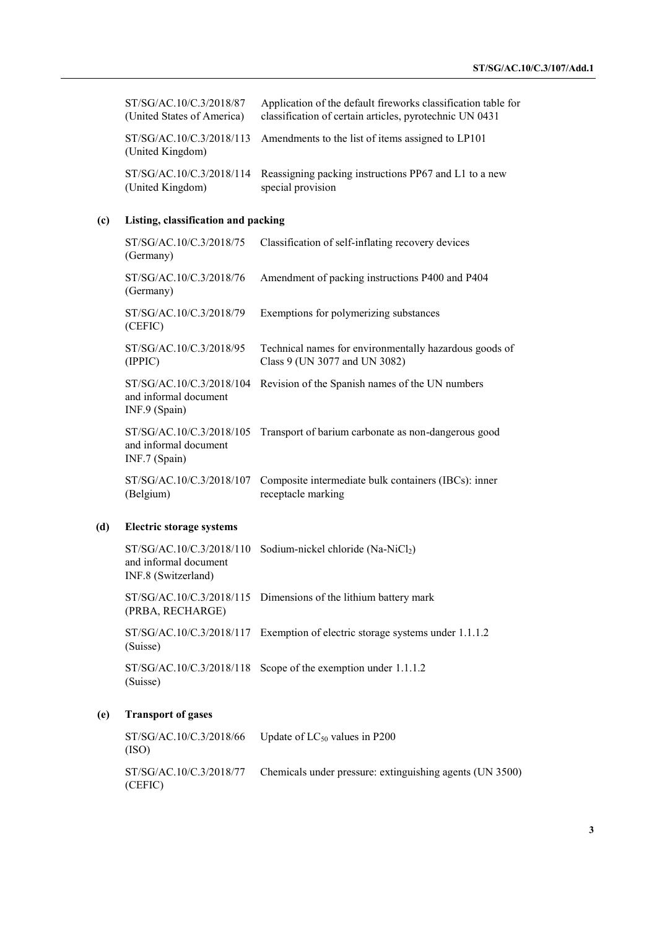| ST/SG/AC.10/C.3/2018/87<br>(United States of America) | Application of the default fireworks classification table for<br>classification of certain articles, pyrotechnic UN 0431 |
|-------------------------------------------------------|--------------------------------------------------------------------------------------------------------------------------|
| (United Kingdom)                                      | $ST/SG/AC.10/C.3/2018/113$ Amendments to the list of items assigned to LP101                                             |
| (United Kingdom)                                      | ST/SG/AC.10/C.3/2018/114 Reassigning packing instructions PP67 and L1 to a new<br>special provision                      |

### **(c) Listing, classification and packing**

| ST/SG/AC.10/C.3/2018/75<br>(Germany)                               | Classification of self-inflating recovery devices                                       |
|--------------------------------------------------------------------|-----------------------------------------------------------------------------------------|
| ST/SG/AC.10/C.3/2018/76<br>(Germany)                               | Amendment of packing instructions P400 and P404                                         |
| ST/SG/AC.10/C.3/2018/79<br>(CEFIC)                                 | Exemptions for polymerizing substances                                                  |
| ST/SG/AC.10/C.3/2018/95<br>(IPPIC)                                 | Technical names for environmentally hazardous goods of<br>Class 9 (UN 3077 and UN 3082) |
| ST/SG/AC.10/C.3/2018/104<br>and informal document<br>INF.9 (Spain) | Revision of the Spanish names of the UN numbers                                         |
| ST/SG/AC.10/C.3/2018/105<br>and informal document<br>INF.7 (Spain) | Transport of barium carbonate as non-dangerous good                                     |
| ST/SG/AC.10/C.3/2018/107<br>(Belgium)                              | Composite intermediate bulk containers (IBCs): inner<br>receptacle marking              |

#### **(d) Electric storage systems**

ST/SG/AC.10/C.3/2018/110 Sodium-nickel chloride (Na-NiCl<sub>2</sub>) and informal document INF.8 (Switzerland)

ST/SG/AC.10/C.3/2018/115 Dimensions of the lithium battery mark (PRBA, RECHARGE)

ST/SG/AC.10/C.3/2018/117 Exemption of electric storage systems under 1.1.1.2 (Suisse)

ST/SG/AC.10/C.3/2018/118 Scope of the exemption under 1.1.1.2 (Suisse)

#### **(e) Transport of gases**

ST/SG/AC.10/C.3/2018/66 (ISO) Update of  $LC_{50}$  values in P200 ST/SG/AC.10/C.3/2018/77 (CEFIC) Chemicals under pressure: extinguishing agents (UN 3500)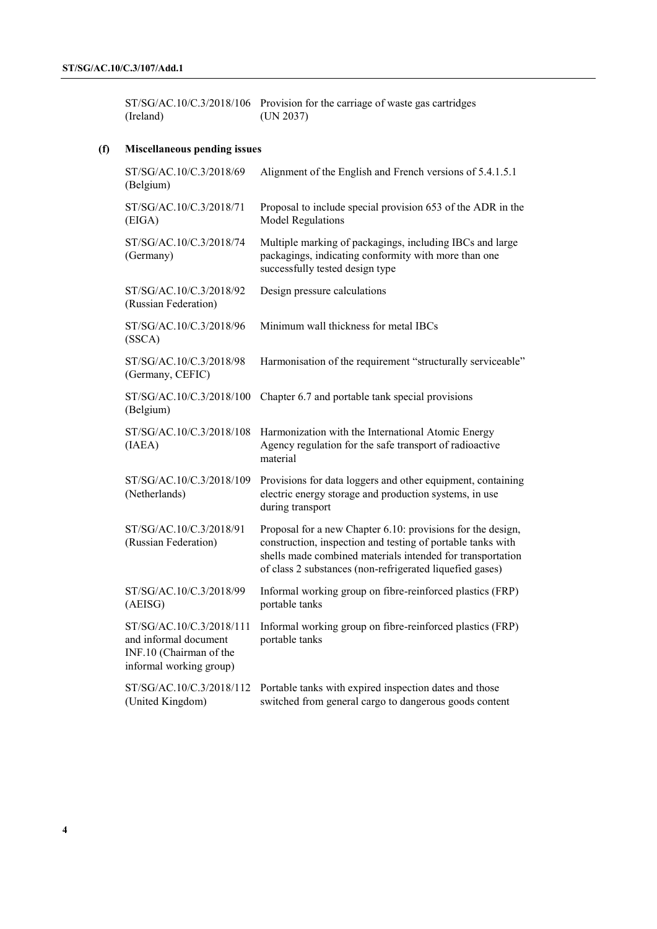ST/SG/AC.10/C.3/2018/106 Provision for the carriage of waste gas cartridges (Ireland) (UN 2037)

### **(f) Miscellaneous pending issues**

| ST/SG/AC.10/C.3/2018/69<br>(Belgium)                                                                    | Alignment of the English and French versions of 5.4.1.5.1                                                                                                                                                                                            |
|---------------------------------------------------------------------------------------------------------|------------------------------------------------------------------------------------------------------------------------------------------------------------------------------------------------------------------------------------------------------|
| ST/SG/AC.10/C.3/2018/71<br>(EIGA)                                                                       | Proposal to include special provision 653 of the ADR in the<br><b>Model Regulations</b>                                                                                                                                                              |
| ST/SG/AC.10/C.3/2018/74<br>(Germany)                                                                    | Multiple marking of packagings, including IBCs and large<br>packagings, indicating conformity with more than one<br>successfully tested design type                                                                                                  |
| ST/SG/AC.10/C.3/2018/92<br>(Russian Federation)                                                         | Design pressure calculations                                                                                                                                                                                                                         |
| ST/SG/AC.10/C.3/2018/96<br>(SSCA)                                                                       | Minimum wall thickness for metal IBCs                                                                                                                                                                                                                |
| ST/SG/AC.10/C.3/2018/98<br>(Germany, CEFIC)                                                             | Harmonisation of the requirement "structurally serviceable"                                                                                                                                                                                          |
| ST/SG/AC.10/C.3/2018/100<br>(Belgium)                                                                   | Chapter 6.7 and portable tank special provisions                                                                                                                                                                                                     |
| ST/SG/AC.10/C.3/2018/108<br>(IAEA)                                                                      | Harmonization with the International Atomic Energy<br>Agency regulation for the safe transport of radioactive<br>material                                                                                                                            |
| ST/SG/AC.10/C.3/2018/109<br>(Netherlands)                                                               | Provisions for data loggers and other equipment, containing<br>electric energy storage and production systems, in use<br>during transport                                                                                                            |
| ST/SG/AC.10/C.3/2018/91<br>(Russian Federation)                                                         | Proposal for a new Chapter 6.10: provisions for the design,<br>construction, inspection and testing of portable tanks with<br>shells made combined materials intended for transportation<br>of class 2 substances (non-refrigerated liquefied gases) |
| ST/SG/AC.10/C.3/2018/99<br>(AEISG)                                                                      | Informal working group on fibre-reinforced plastics (FRP)<br>portable tanks                                                                                                                                                                          |
| ST/SG/AC.10/C.3/2018/111<br>and informal document<br>INF.10 (Chairman of the<br>informal working group) | Informal working group on fibre-reinforced plastics (FRP)<br>portable tanks                                                                                                                                                                          |
| ST/SG/AC.10/C.3/2018/112<br>(United Kingdom)                                                            | Portable tanks with expired inspection dates and those<br>switched from general cargo to dangerous goods content                                                                                                                                     |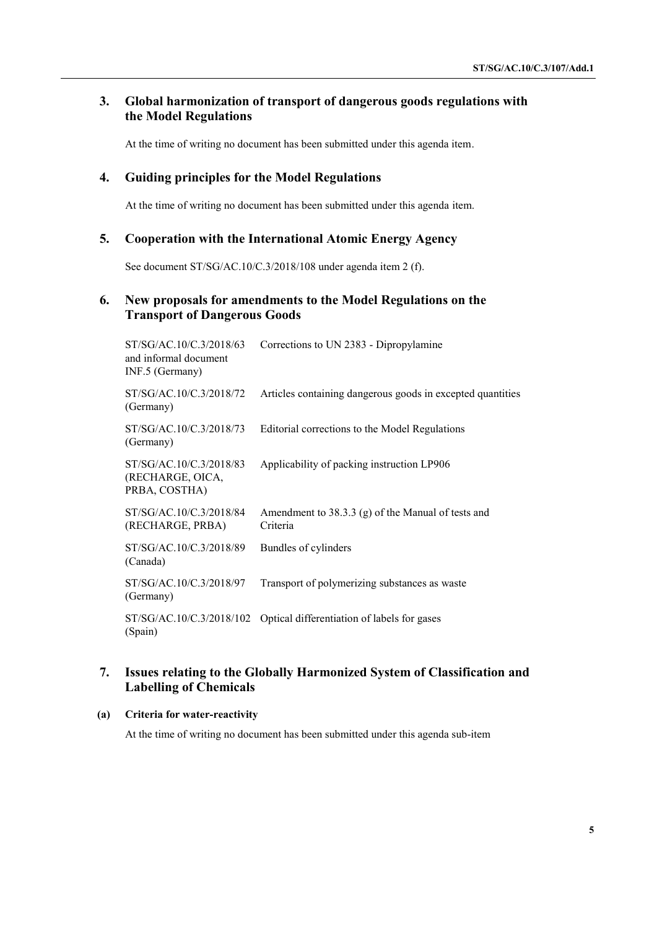# **3. Global harmonization of transport of dangerous goods regulations with the Model Regulations**

At the time of writing no document has been submitted under this agenda item.

### **4. Guiding principles for the Model Regulations**

At the time of writing no document has been submitted under this agenda item.

# **5. Cooperation with the International Atomic Energy Agency**

See document ST/SG/AC.10/C.3/2018/108 under agenda item 2 (f).

### **6. New proposals for amendments to the Model Regulations on the Transport of Dangerous Goods**

| ST/SG/AC.10/C.3/2018/63<br>and informal document<br>INF.5 (Germany) | Corrections to UN 2383 - Dipropylamine                               |
|---------------------------------------------------------------------|----------------------------------------------------------------------|
| ST/SG/AC.10/C.3/2018/72<br>(Germany)                                | Articles containing dangerous goods in excepted quantities           |
| ST/SG/AC.10/C.3/2018/73<br>(Germany)                                | Editorial corrections to the Model Regulations                       |
| ST/SG/AC.10/C.3/2018/83<br>(RECHARGE, OICA,<br>PRBA, COSTHA)        | Applicability of packing instruction LP906                           |
| ST/SG/AC.10/C.3/2018/84<br>(RECHARGE, PRBA)                         | Amendment to $38.3.3$ (g) of the Manual of tests and<br>Criteria     |
| ST/SG/AC.10/C.3/2018/89<br>(Canada)                                 | Bundles of cylinders                                                 |
| ST/SG/AC.10/C.3/2018/97<br>(Germany)                                | Transport of polymerizing substances as waste                        |
| (Spain)                                                             | ST/SG/AC.10/C.3/2018/102 Optical differentiation of labels for gases |

# **7. Issues relating to the Globally Harmonized System of Classification and Labelling of Chemicals**

#### **(a) Criteria for water-reactivity**

At the time of writing no document has been submitted under this agenda sub-item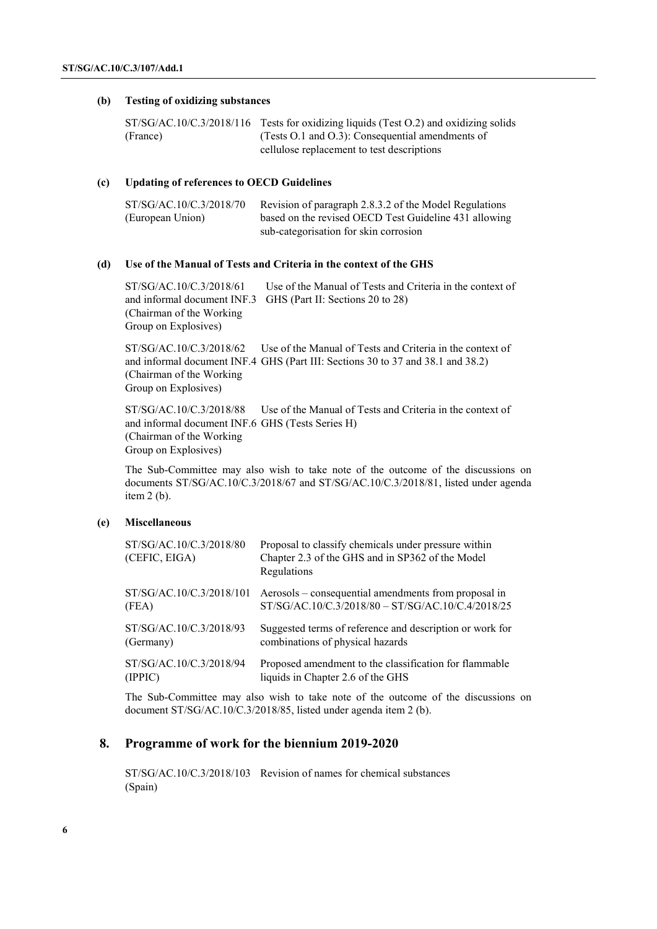#### **(b) Testing of oxidizing substances**

|          | $ST/SG/AC.10/C.3/2018/116$ Tests for oxidizing liquids (Test O.2) and oxidizing solids |
|----------|----------------------------------------------------------------------------------------|
| (France) | (Tests $O.1$ and $O.3$ ): Consequential amendments of                                  |
|          | cellulose replacement to test descriptions                                             |

#### **(c) Updating of references to OECD Guidelines**

| ST/SG/AC.10/C.3/2018/70 | Revision of paragraph 2.8.3.2 of the Model Regulations |
|-------------------------|--------------------------------------------------------|
| (European Union)        | based on the revised OECD Test Guideline 431 allowing  |
|                         | sub-categorisation for skin corrosion                  |

#### **(d) Use of the Manual of Tests and Criteria in the context of the GHS**

ST/SG/AC.10/C.3/2018/61 and informal document INF.3 GHS (Part II: Sections 20 to 28) (Chairman of the Working Group on Explosives) Use of the Manual of Tests and Criteria in the context of

ST/SG/AC.10/C.3/2018/62 and informal document INF.4 GHS (Part III: Sections 30 to 37 and 38.1 and 38.2) (Chairman of the Working Group on Explosives) Use of the Manual of Tests and Criteria in the context of

ST/SG/AC.10/C.3/2018/88 and informal document INF.6 GHS (Tests Series H) (Chairman of the Working Group on Explosives) Use of the Manual of Tests and Criteria in the context of

The Sub-Committee may also wish to take note of the outcome of the discussions on documents ST/SG/AC.10/C.3/2018/67 and ST/SG/AC.10/C.3/2018/81, listed under agenda item 2 (b).

#### **(e) Miscellaneous**

| ST/SG/AC.10/C.3/2018/80<br>(CEFIC, EIGA) | Proposal to classify chemicals under pressure within<br>Chapter 2.3 of the GHS and in SP362 of the Model<br>Regulations |
|------------------------------------------|-------------------------------------------------------------------------------------------------------------------------|
| ST/SG/AC.10/C.3/2018/101                 | Aerosols – consequential amendments from proposal in                                                                    |
| (FEA)                                    | ST/SG/AC.10/C.3/2018/80 - ST/SG/AC.10/C.4/2018/25                                                                       |
| ST/SG/AC.10/C.3/2018/93                  | Suggested terms of reference and description or work for                                                                |
| (Germany)                                | combinations of physical hazards                                                                                        |
| ST/SG/AC.10/C.3/2018/94                  | Proposed amendment to the classification for flammable                                                                  |
| (IPPIC)                                  | liquids in Chapter 2.6 of the GHS                                                                                       |

The Sub-Committee may also wish to take note of the outcome of the discussions on document ST/SG/AC.10/C.3/2018/85, listed under agenda item 2 (b).

#### **8. Programme of work for the biennium 2019-2020**

ST/SG/AC.10/C.3/2018/103 Revision of names for chemical substances(Spain)